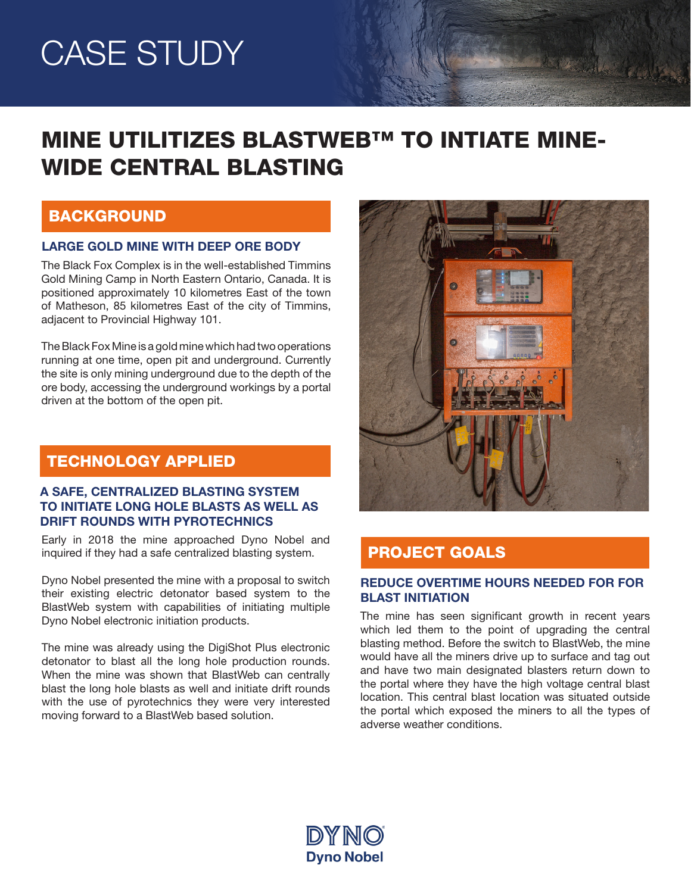# CASE STUDY

## MINE UTILITIZES BLASTWEB™ TO INTIATE MINE-WIDE CENTRAL BLASTING

## BACKGROUND

#### LARGE GOLD MINE WITH DEEP ORE BODY

The Black Fox Complex is in the well-established Timmins Gold Mining Camp in North Eastern Ontario, Canada. It is positioned approximately 10 kilometres East of the town of Matheson, 85 kilometres East of the city of Timmins, adjacent to Provincial Highway 101.

The Black Fox Mine is a gold mine which had two operations running at one time, open pit and underground. Currently the site is only mining underground due to the depth of the ore body, accessing the underground workings by a portal driven at the bottom of the open pit.

## TECHNOLOGY APPLIED

### A SAFE, CENTRALIZED BLASTING SYSTEM TO INITIATE LONG HOLE BLASTS AS WELL AS DRIFT ROUNDS WITH PYROTECHNICS

Early in 2018 the mine approached Dyno Nobel and inquired if they had a safe centralized blasting system.

Dyno Nobel presented the mine with a proposal to switch their existing electric detonator based system to the BlastWeb system with capabilities of initiating multiple Dyno Nobel electronic initiation products.

The mine was already using the DigiShot Plus electronic detonator to blast all the long hole production rounds. When the mine was shown that BlastWeb can centrally blast the long hole blasts as well and initiate drift rounds with the use of pyrotechnics they were very interested moving forward to a BlastWeb based solution.



Walker Court

## PROJECT GOALS

### REDUCE OVERTIME HOURS NEEDED FOR FOR BLAST INITIATION

The mine has seen significant growth in recent years which led them to the point of upgrading the central blasting method. Before the switch to BlastWeb, the mine would have all the miners drive up to surface and tag out and have two main designated blasters return down to the portal where they have the high voltage central blast location. This central blast location was situated outside the portal which exposed the miners to all the types of adverse weather conditions.